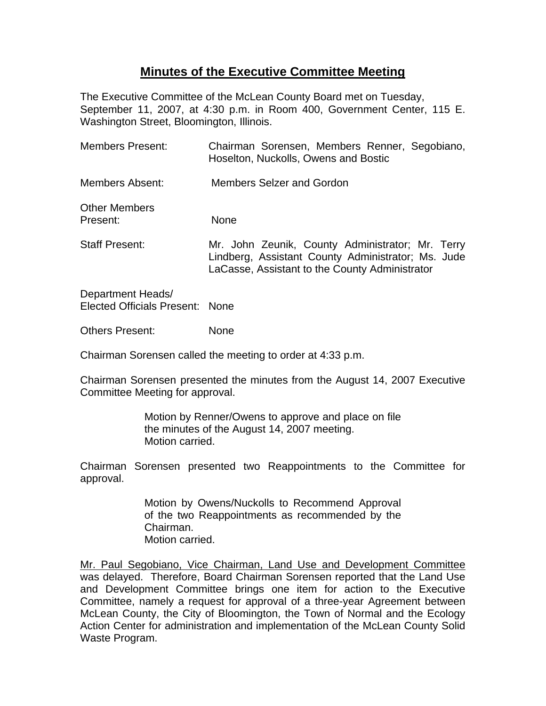## **Minutes of the Executive Committee Meeting**

The Executive Committee of the McLean County Board met on Tuesday, September 11, 2007, at 4:30 p.m. in Room 400, Government Center, 115 E. Washington Street, Bloomington, Illinois.

| Members Present:                                            | Chairman Sorensen, Members Renner, Segobiano,<br>Hoselton, Nuckolls, Owens and Bostic                                                                    |
|-------------------------------------------------------------|----------------------------------------------------------------------------------------------------------------------------------------------------------|
| Members Absent:                                             | Members Selzer and Gordon                                                                                                                                |
| <b>Other Members</b><br>Present:                            | <b>None</b>                                                                                                                                              |
| <b>Staff Present:</b>                                       | Mr. John Zeunik, County Administrator; Mr. Terry<br>Lindberg, Assistant County Administrator; Ms. Jude<br>LaCasse, Assistant to the County Administrator |
| Department Heads/<br><b>Elected Officials Present: None</b> |                                                                                                                                                          |

Others Present: None

Chairman Sorensen called the meeting to order at 4:33 p.m.

Chairman Sorensen presented the minutes from the August 14, 2007 Executive Committee Meeting for approval.

> Motion by Renner/Owens to approve and place on file the minutes of the August 14, 2007 meeting. Motion carried.

Chairman Sorensen presented two Reappointments to the Committee for approval.

> Motion by Owens/Nuckolls to Recommend Approval of the two Reappointments as recommended by the Chairman. Motion carried.

Mr. Paul Segobiano, Vice Chairman, Land Use and Development Committee was delayed. Therefore, Board Chairman Sorensen reported that the Land Use and Development Committee brings one item for action to the Executive Committee, namely a request for approval of a three-year Agreement between McLean County, the City of Bloomington, the Town of Normal and the Ecology Action Center for administration and implementation of the McLean County Solid Waste Program.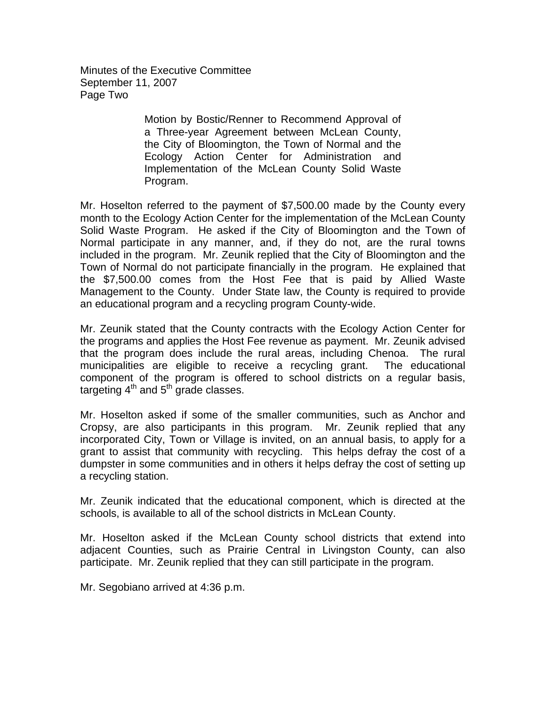Minutes of the Executive Committee September 11, 2007 Page Two

> Motion by Bostic/Renner to Recommend Approval of a Three-year Agreement between McLean County, the City of Bloomington, the Town of Normal and the Ecology Action Center for Administration and Implementation of the McLean County Solid Waste Program.

Mr. Hoselton referred to the payment of \$7,500.00 made by the County every month to the Ecology Action Center for the implementation of the McLean County Solid Waste Program. He asked if the City of Bloomington and the Town of Normal participate in any manner, and, if they do not, are the rural towns included in the program. Mr. Zeunik replied that the City of Bloomington and the Town of Normal do not participate financially in the program. He explained that the \$7,500.00 comes from the Host Fee that is paid by Allied Waste Management to the County. Under State law, the County is required to provide an educational program and a recycling program County-wide.

Mr. Zeunik stated that the County contracts with the Ecology Action Center for the programs and applies the Host Fee revenue as payment. Mr. Zeunik advised that the program does include the rural areas, including Chenoa. The rural municipalities are eligible to receive a recycling grant. The educational component of the program is offered to school districts on a regular basis, targeting  $4<sup>th</sup>$  and  $5<sup>th</sup>$  grade classes.

Mr. Hoselton asked if some of the smaller communities, such as Anchor and Cropsy, are also participants in this program. Mr. Zeunik replied that any incorporated City, Town or Village is invited, on an annual basis, to apply for a grant to assist that community with recycling. This helps defray the cost of a dumpster in some communities and in others it helps defray the cost of setting up a recycling station.

Mr. Zeunik indicated that the educational component, which is directed at the schools, is available to all of the school districts in McLean County.

Mr. Hoselton asked if the McLean County school districts that extend into adjacent Counties, such as Prairie Central in Livingston County, can also participate. Mr. Zeunik replied that they can still participate in the program.

Mr. Segobiano arrived at 4:36 p.m.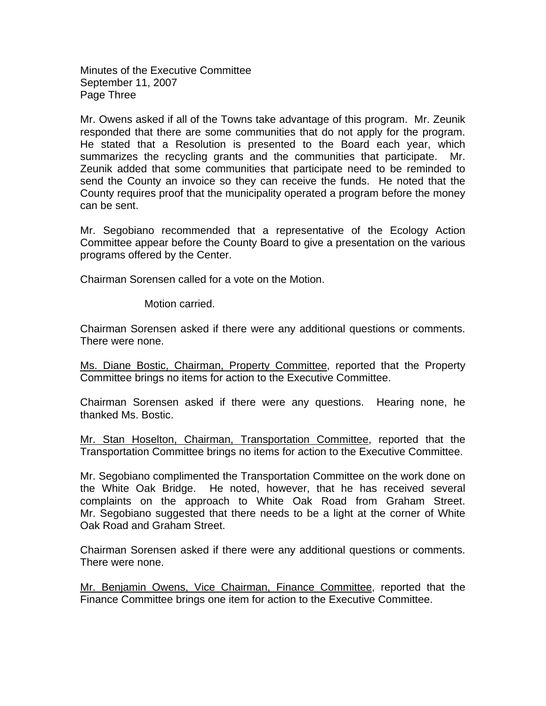Minutes of the Executive Committee September 11, 2007 Page Three

Mr. Owens asked if all of the Towns take advantage of this program. Mr. Zeunik responded that there are some communities that do not apply for the program. He stated that a Resolution is presented to the Board each year, which summarizes the recycling grants and the communities that participate. Mr. Zeunik added that some communities that participate need to be reminded to send the County an invoice so they can receive the funds. He noted that the County requires proof that the municipality operated a program before the money can be sent.

Mr. Segobiano recommended that a representative of the Ecology Action Committee appear before the County Board to give a presentation on the various programs offered by the Center.

Chairman Sorensen called for a vote on the Motion.

Motion carried.

Chairman Sorensen asked if there were any additional questions or comments. There were none.

Ms. Diane Bostic, Chairman, Property Committee, reported that the Property Committee brings no items for action to the Executive Committee.

Chairman Sorensen asked if there were any questions. Hearing none, he thanked Ms. Bostic.

Mr. Stan Hoselton, Chairman, Transportation Committee, reported that the Transportation Committee brings no items for action to the Executive Committee.

Mr. Segobiano complimented the Transportation Committee on the work done on the White Oak Bridge. He noted, however, that he has received several complaints on the approach to White Oak Road from Graham Street. Mr. Segobiano suggested that there needs to be a light at the corner of White Oak Road and Graham Street.

Chairman Sorensen asked if there were any additional questions or comments. There were none.

Mr. Benjamin Owens, Vice Chairman, Finance Committee, reported that the Finance Committee brings one item for action to the Executive Committee.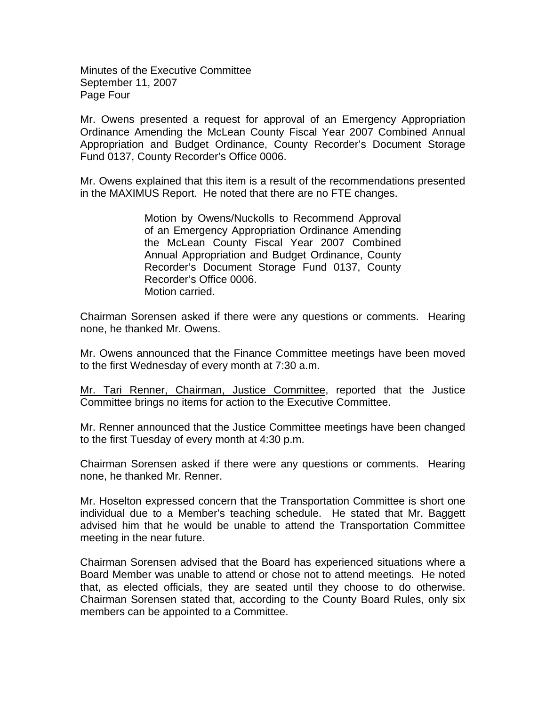Minutes of the Executive Committee September 11, 2007 Page Four

Mr. Owens presented a request for approval of an Emergency Appropriation Ordinance Amending the McLean County Fiscal Year 2007 Combined Annual Appropriation and Budget Ordinance, County Recorder's Document Storage Fund 0137, County Recorder's Office 0006.

Mr. Owens explained that this item is a result of the recommendations presented in the MAXIMUS Report. He noted that there are no FTE changes.

> Motion by Owens/Nuckolls to Recommend Approval of an Emergency Appropriation Ordinance Amending the McLean County Fiscal Year 2007 Combined Annual Appropriation and Budget Ordinance, County Recorder's Document Storage Fund 0137, County Recorder's Office 0006. Motion carried.

Chairman Sorensen asked if there were any questions or comments. Hearing none, he thanked Mr. Owens.

Mr. Owens announced that the Finance Committee meetings have been moved to the first Wednesday of every month at 7:30 a.m.

Mr. Tari Renner, Chairman, Justice Committee, reported that the Justice Committee brings no items for action to the Executive Committee.

Mr. Renner announced that the Justice Committee meetings have been changed to the first Tuesday of every month at 4:30 p.m.

Chairman Sorensen asked if there were any questions or comments. Hearing none, he thanked Mr. Renner.

Mr. Hoselton expressed concern that the Transportation Committee is short one individual due to a Member's teaching schedule. He stated that Mr. Baggett advised him that he would be unable to attend the Transportation Committee meeting in the near future.

Chairman Sorensen advised that the Board has experienced situations where a Board Member was unable to attend or chose not to attend meetings. He noted that, as elected officials, they are seated until they choose to do otherwise. Chairman Sorensen stated that, according to the County Board Rules, only six members can be appointed to a Committee.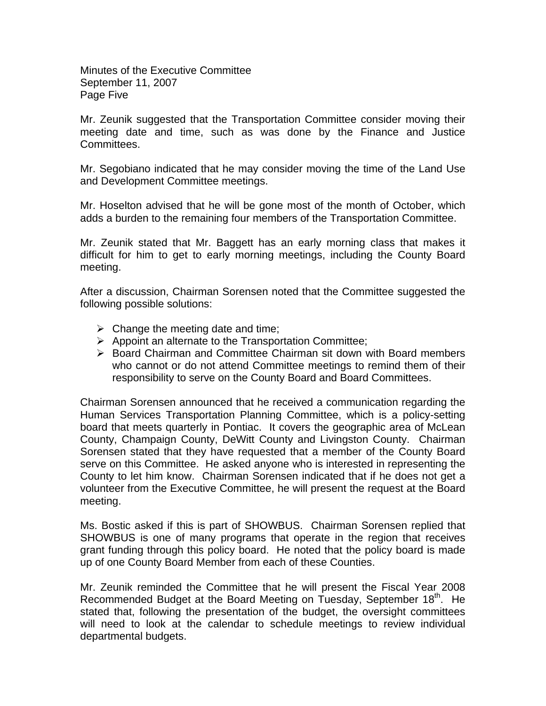Minutes of the Executive Committee September 11, 2007 Page Five

Mr. Zeunik suggested that the Transportation Committee consider moving their meeting date and time, such as was done by the Finance and Justice Committees.

Mr. Segobiano indicated that he may consider moving the time of the Land Use and Development Committee meetings.

Mr. Hoselton advised that he will be gone most of the month of October, which adds a burden to the remaining four members of the Transportation Committee.

Mr. Zeunik stated that Mr. Baggett has an early morning class that makes it difficult for him to get to early morning meetings, including the County Board meeting.

After a discussion, Chairman Sorensen noted that the Committee suggested the following possible solutions:

- $\triangleright$  Change the meeting date and time;
- $\triangleright$  Appoint an alternate to the Transportation Committee;
- ¾ Board Chairman and Committee Chairman sit down with Board members who cannot or do not attend Committee meetings to remind them of their responsibility to serve on the County Board and Board Committees.

Chairman Sorensen announced that he received a communication regarding the Human Services Transportation Planning Committee, which is a policy-setting board that meets quarterly in Pontiac. It covers the geographic area of McLean County, Champaign County, DeWitt County and Livingston County. Chairman Sorensen stated that they have requested that a member of the County Board serve on this Committee. He asked anyone who is interested in representing the County to let him know. Chairman Sorensen indicated that if he does not get a volunteer from the Executive Committee, he will present the request at the Board meeting.

Ms. Bostic asked if this is part of SHOWBUS. Chairman Sorensen replied that SHOWBUS is one of many programs that operate in the region that receives grant funding through this policy board. He noted that the policy board is made up of one County Board Member from each of these Counties.

Mr. Zeunik reminded the Committee that he will present the Fiscal Year 2008 Recommended Budget at the Board Meeting on Tuesday, September 18<sup>th</sup>. He stated that, following the presentation of the budget, the oversight committees will need to look at the calendar to schedule meetings to review individual departmental budgets.